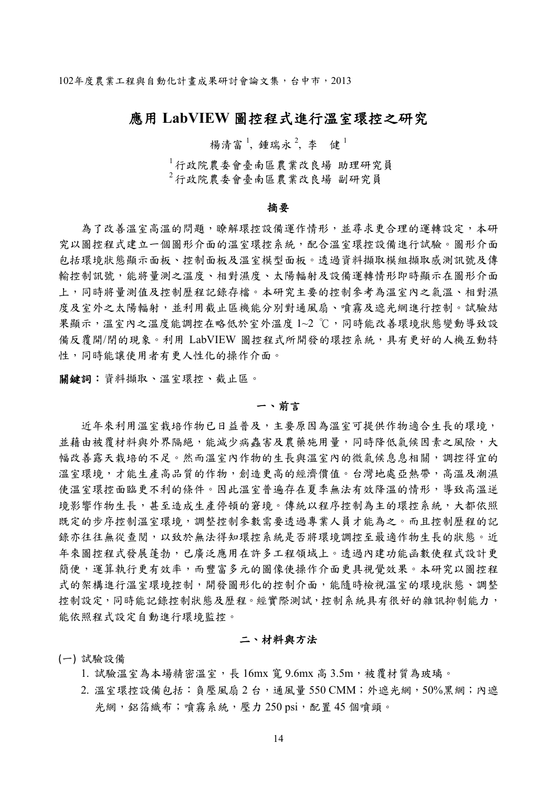102年度農業工程與自動化計畫成果研討會論文集,台中市,2013

# 應用 **LabVIEW** 圖控程式進行溫室環控之研究

楊清富<sup>1</sup>, 鍾瑞永<sup>2</sup>, 李 健<sup>1</sup>

<sup>1</sup> 行政院農委會臺南區農業改良場 助理研究員 <sup>2</sup> 行政院農委會臺南區農業改良場 副研究員

#### 摘要

為了改善溫室高溫的問題,瞭解環控設備運作情形,並尋求更合理的運轉設定,本研 究以圖控程式建立一個圖形介面的溫室環控系統,配合溫室環控設備進行試驗。圖形介面 包括環境狀態顯示面板、控制面板及溫室模型面板。透過資料擷取模組擷取感測訊號及傳 輸控制訊號,能將量測之溫度、相對濕度、太陽輻射及設備運轉情形即時顯示在圖形介面 上,同時將量測值及控制歷程記錄存檔。本研究主要的控制參考為溫室內之氣溫、相對濕 度及室外之太陽輻射,並利用截止區機能分別對通風扇、噴霧及遮光網進行控制。試驗結 果顯示,溫室內之溫度能調控在略低於室外溫度 1~2 ℃,同時能改善環境狀態變動導致設 備反覆開/閉的現象。利用 LabVIEW 圖控程式所開發的環控系統,具有更好的人機互動特 性,同時能讓使用者有更人性化的操作介面。

關鍵詞:資料擷取、溫室環控、截止區。

### 一、前言

近年來利用溫室栽培作物已日益普及,主要原因為溫室可提供作物適合生長的環境, 並藉由被覆材料與外界隔絕,能減少病蟲害及農藥施用量,同時降低氣候因素之風險,大 幅改善露天栽培的不足。然而溫室內作物的生長與溫室內的微氣候息息相關,調控得宜的 溫室環境,才能生產高品質的作物,創造更高的經濟價值。台灣地處亞熱帶,高溫及潮濕 使溫室環控面臨更不利的條件。因此溫室普遍存在夏季無法有效降溫的情形,導致高溫逆 境影響作物生長,甚至造成生產停頓的窘境。傳統以程序控制為主的環控系統,大都依照 既定的步序控制溫室環境,調整控制參數需要透過專業人員才能為之。而且控制歷程的記 錄亦往往無從查閱,以致於無法得知環控系統是否將環境調控至最適作物生長的狀態。近 年來圖控程式發展蓬勃,已廣泛應用在許多工程領域上。透過內建功能函數使程式設計更 簡便,運算執行更有效率,而豐富多元的圖像使操作介面更具視覺效果。本研究以圖控程 式的架構進行溫室環境控制,開發圖形化的控制介面,能隨時檢視溫室的環境狀態、調整 控制設定,同時能記錄控制狀態及歷程。經實際測試,控制系統具有很好的雜訊抑制能力, 能依照程式設定自動進行環境監控。

# 二、材料與方法

(一) 試驗設備

- 1. 試驗溫室為本場精密溫室,長 16mx 寬 9.6mx 高 3.5m,被覆材質為玻璃。
- 2. 溫室環控設備包括:負壓風扇 2 台,通風量 550 CMM;外遮光網,50%黑網;內遮 光網, 鋁箔織布;噴霧系統, 壓力 250 psi, 配置 45 個噴頭。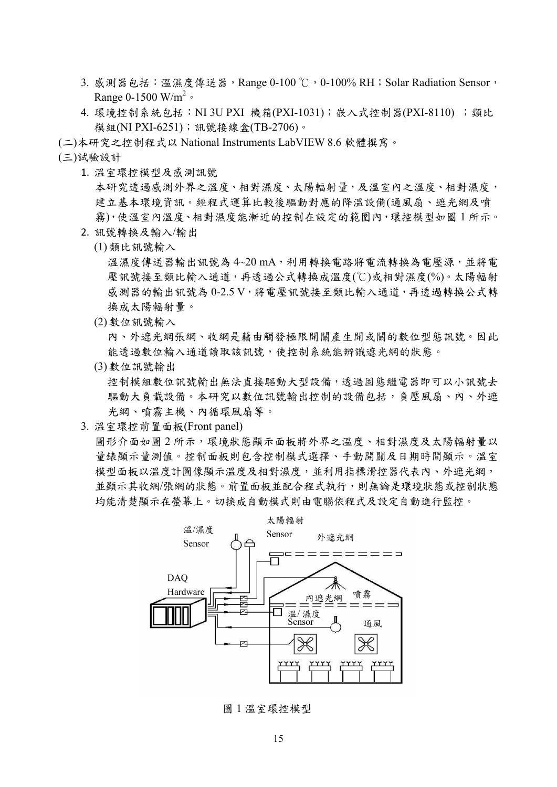- 3. 感測器包括:溫濕度傳送器,Range 0-100℃, 0-100% RH; Solar Radiation Sensor, Range 0-1500 W/m<sup>2</sup>  $\circ$
- 4. 環境控制系統包括: NI 3U PXI 機箱(PXI-1031);嵌入式控制器(PXI-8110);類比 模組(NI PXI-6251);訊號接線盒(TB-2706)。

(二)本研究之控制程式以 National Instruments LabVIEW 8.6 軟體撰寫。

(三)試驗設計

1. 溫室環控模型及感測訊號

本研究透過感測外界之溫度、相對濕度、太陽輻射量,及溫室內之溫度、相對濕度, 建立基本環境資訊。經程式運算比較後驅動對應的降溫設備(通風扇、遮光網及噴 霧),使溫室內溫度、相對濕度能漸近的控制在設定的範圍內,環控模型如圖 1 所示。

- 2. 訊號轉換及輸入/輸出
	- (1)類比訊號輸入

溫濕度傳送器輸出訊號為 4~20 mA,利用轉換電路將電流轉換為電壓源,並將電 壓訊號接至類比輸入通道,再透過公式轉換成溫度(℃)或相對濕度(%)。太陽輻射 感測器的輸出訊號為 0-2.5 V,將電壓訊號接至類比輸入通道,再透過轉換公式轉 換成太陽輻射量。

(2)數位訊號輸入

內、外遮光網張網、收網是藉由觸發極限開關產生開或關的數位型態訊號。因此 能透過數位輸入通道讀取該訊號,使控制系統能辨識遮光網的狀態。

(3)數位訊號輸出

控制模組數位訊號輸出無法直接驅動大型設備,透過固態繼電器即可以小訊號去 驅動大負載設備。本研究以數位訊號輸出控制的設備包括,負壓風扇、內、外遮 光網、噴霧主機、內循環風扇等。

3. 溫室環控前置面板(Front panel)

圖形介面如圖 2 所示,環境狀態顯示面板將外界之溫度、相對濕度及太陽輻射量以 量錶顯示量測值。控制面板則包含控制模式選擇、手動開關及日期時間顯示。溫室 模型面板以溫度計圖像顯示溫度及相對濕度,並利用指標滑控器代表內、外遮光網, 並顯示其收網/張網的狀態。前置面板並配合程式執行,則無論是環境狀態或控制狀態 均能清楚顯示在螢幕上。切換成自動模式則由電腦依程式及設定自動進行監控。



圖 1 溫室環控模型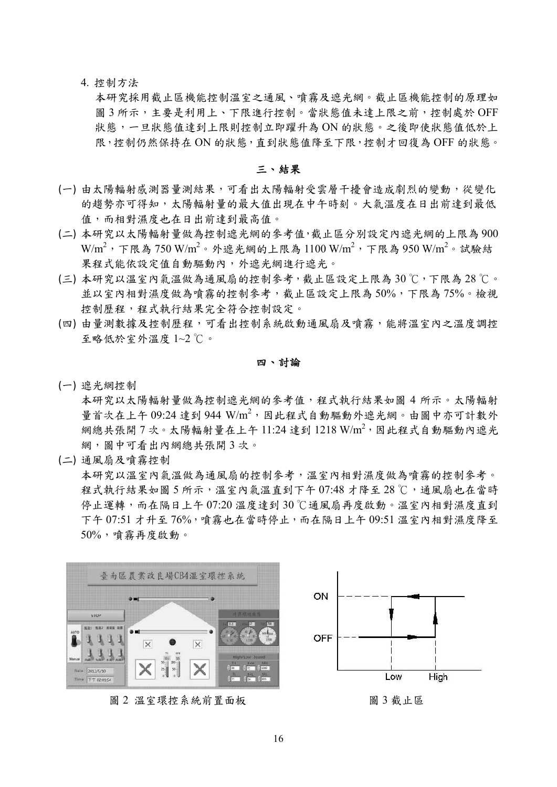# 4. 控制方法

本研究採用截止區機能控制溫室之通風、噴霧及遮光網。截止區機能控制的原理如 圖 3 所示,主要是利用上、下限進行控制。當狀態值未達上限之前,控制處於 OFF 狀態,一旦狀態值達到上限則控制立即躍升為 ON 的狀態。之後即使狀態值低於上 限,控制仍然保持在 ON 的狀態,直到狀態值降至下限,控制才回復為 OFF 的狀態。

#### 三、結果

- (一) 由太陽輻射感測器量測結果,可看出太陽輻射受雲層干擾會造成劇烈的變動,從變化 的趨勢亦可得知,太陽輻射量的最大值出現在中午時刻。大氣溫度在日出前達到最低 值,而相對濕度也在日出前達到最高值。
- (二) 本研究以太陽輻射量做為控制遮光網的參考值,截止區分別設定內遮光網的上限為 900  $\text{W/m}^2$ ,下限為 750  $\text{W/m}^2$ 。外遮光網的上限為 1100  $\text{W/m}^2$ ,下限為 950  $\text{W/m}^2$ 。試驗結 果程式能依設定值自動驅動內,外遮光網進行遮光。
- (三) 本研究以溫室內氣溫做為通風扇的控制參考,截止區設定上限為 30 ℃,下限為 28 ℃。 並以室內相對濕度做為噴霧的控制參考,截止區設定上限為 50%,下限為 75%。檢視 控制歷程,程式執行結果完全符合控制設定。
- (四) 由量測數據及控制歷程,可看出控制系統啟動通風扇及噴霧,能將溫室內之溫度調控 至略低於室外溫度 1~2 ℃。

四、討論

(一) 遮光網控制

本研究以太陽輻射量做為控制遮光網的參考值,程式執行結果如圖 4 所示。太陽輻射 量首次在上午 09:24 達到 944 W/m<sup>2</sup>, 因此程式自動驅動外遮光網。由圖中亦可計數外 網總共張開7次。太陽輻射量在上午11:24 達到1218 W/m<sup>2</sup>, 因此程式自動驅動內遮光 網,圖中可看出內網總共張開 3 次。

(二) 通風扇及噴霧控制

本研究以溫室內氣溫做為通風扇的控制參考,溫室內相對濕度做為噴霧的控制參考。 程式執行結果如圖 5 所示,溫室內氣溫直到下午 07:48 才降至 28 ℃,通風扇也在當時 停止運轉,而在隔日上午 07:20 溫度達到 30 ℃通風扇再度啟動。溫室內相對濕度直到 下午 07:51 才升至 76%,噴霧也在當時停止,而在隔日上午 09:51 溫室內相對濕度降至 50%,噴霧再度啟動。



圖 2 溫室環控系統前置面板 调 2 溫室環控系統前置面板

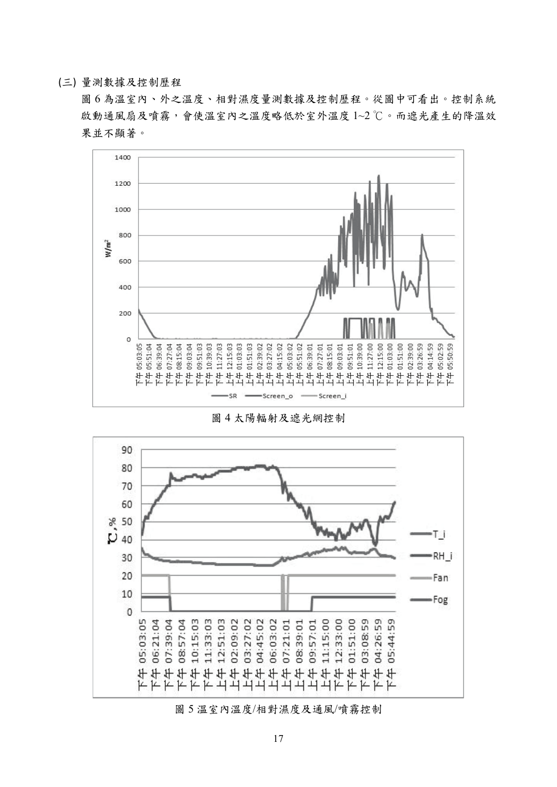# (三) 量測數據及控制歷程

圖 6 為溫室內、外之溫度、相對濕度量測數據及控制歷程。從圖中可看出。控制系統 啟動通風扇及噴霧,會使溫室內之溫度略低於室外溫度 1~2 ℃。而遮光產生的降溫效 果並不顯著。



圖 4 太陽輻射及遮光網控制



圖 5 溫室內溫度/相對濕度及通風/噴霧控制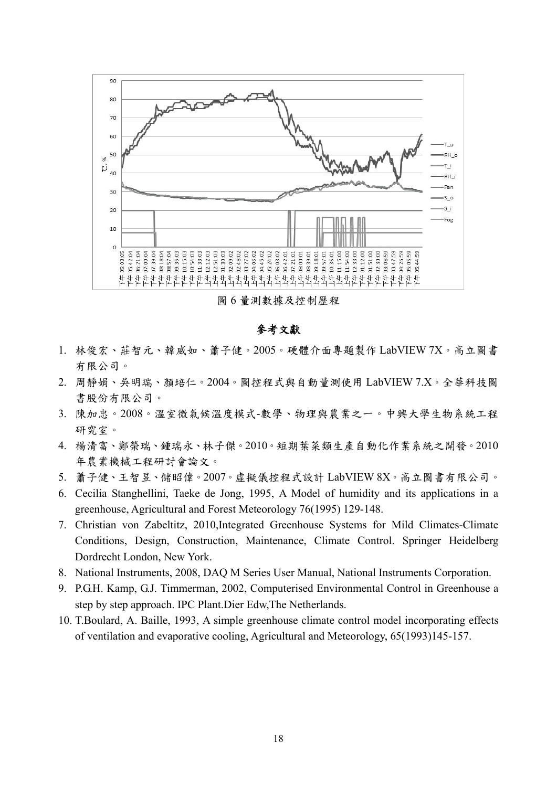

圖 6 量測數據及控制歷程

# 參考文獻

- 1. 林俊宏、莊智元、韓威如、蕭子健。2005。硬體介面專題製作 LabVIEW 7X。高立圖書 有限公司。
- 2. 周靜娟、吳明瑞、顏培仁。2004。圖控程式與自動量測使用 LabVIEW 7.X。全華科技圖 書股份有限公司。
- 3. 陳加忠。2008。溫室微氣候溫度模式-數學、物理與農業之一。中興大學生物系統工程 研究室。
- 4. 楊清富、鄭榮瑞、鍾瑞永、林子傑。2010。短期葉菜類生產自動化作業系統之開發。2010 年農業機械工程研討會論文。
- 5. 蕭子健、王智昱、儲昭偉。2007。虛擬儀控程式設計 LabVIEW 8X。高立圖書有限公司。
- 6. Cecilia Stanghellini, Taeke de Jong, 1995, A Model of humidity and its applications in a greenhouse, Agricultural and Forest Meteorology 76(1995) 129-148.
- 7. Christian von Zabeltitz, 2010,Integrated Greenhouse Systems for Mild Climates-Climate Conditions, Design, Construction, Maintenance, Climate Control. Springer Heidelberg Dordrecht London, New York.
- 8. National Instruments, 2008, DAQ M Series User Manual, National Instruments Corporation.
- 9. P.G.H. Kamp, G.J. Timmerman, 2002, Computerised Environmental Control in Greenhouse a step by step approach. IPC Plant.Dier Edw,The Netherlands.
- 10. T.Boulard, A. Baille, 1993, A simple greenhouse climate control model incorporating effects of ventilation and evaporative cooling, Agricultural and Meteorology, 65(1993)145-157.